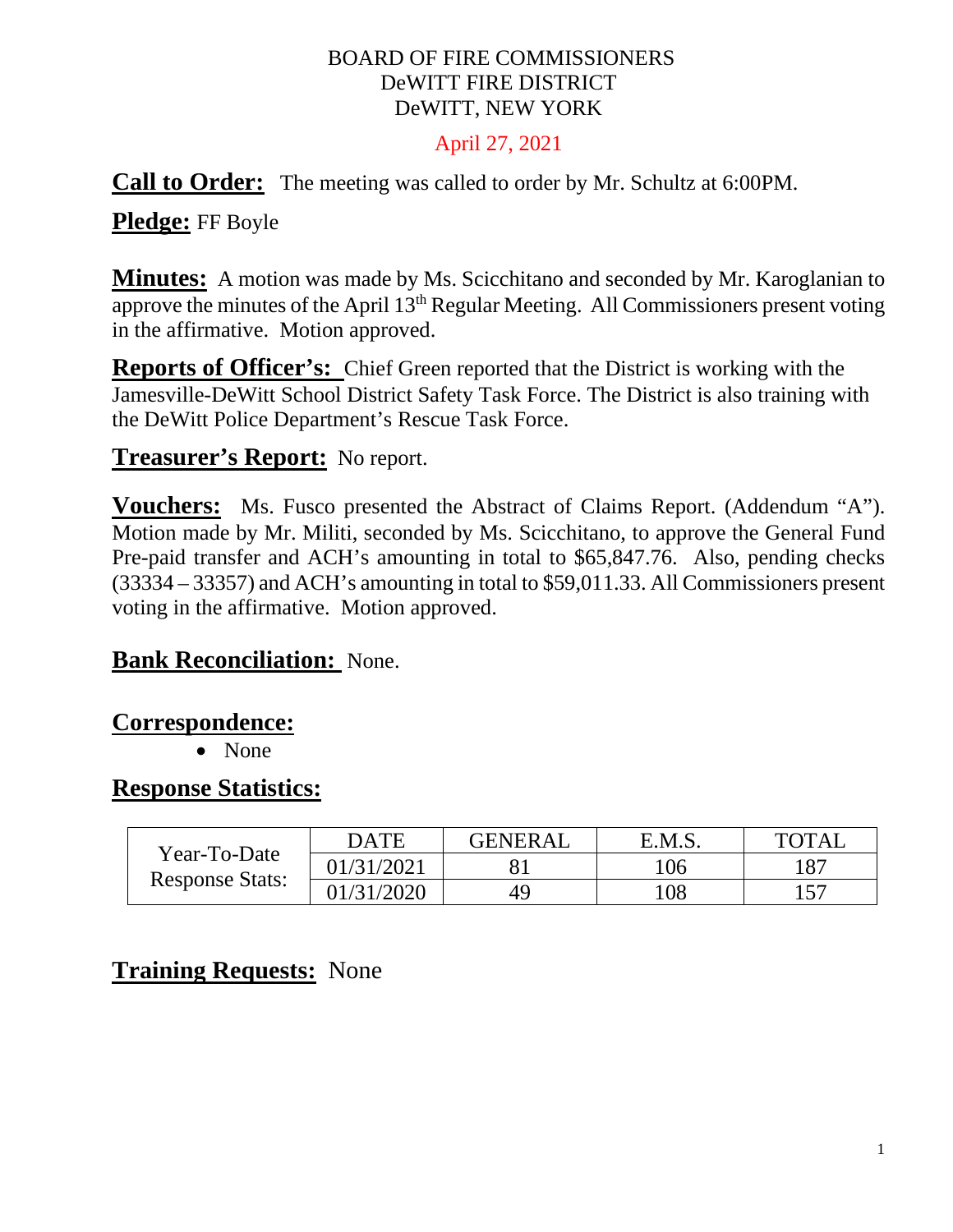#### BOARD OF FIRE COMMISSIONERS DeWITT FIRE DISTRICT DeWITT, NEW YORK

#### April 27, 2021

#### **Call to Order:** The meeting was called to order by Mr. Schultz at 6:00PM.

## **Pledge:** FF Boyle

**Minutes:** A motion was made by Ms. Scicchitano and seconded by Mr. Karoglanian to approve the minutes of the April 13th Regular Meeting. All Commissioners present voting in the affirmative. Motion approved.

**Reports of Officer's:** Chief Green reported that the District is working with the Jamesville-DeWitt School District Safety Task Force. The District is also training with the DeWitt Police Department's Rescue Task Force.

#### **Treasurer's Report:** No report.

**Vouchers:** Ms. Fusco presented the Abstract of Claims Report. (Addendum "A"). Motion made by Mr. Militi, seconded by Ms. Scicchitano, to approve the General Fund Pre-paid transfer and ACH's amounting in total to \$65,847.76. Also, pending checks (33334 – 33357) and ACH's amounting in total to \$59,011.33. All Commissioners present voting in the affirmative. Motion approved.

## **Bank Reconciliation:** None.

#### **Correspondence:**

• None

#### **Response Statistics:**

| Year-To-Date<br><b>Response Stats:</b> | <b>DATE</b> | <b>GENERAL</b> | E.M.S. | <b>TOTAL</b> |
|----------------------------------------|-------------|----------------|--------|--------------|
|                                        | 01/31/2021  |                | 106    | 187          |
|                                        | 01/31/2020  | 49             | 108    | 157          |

## **Training Requests:** None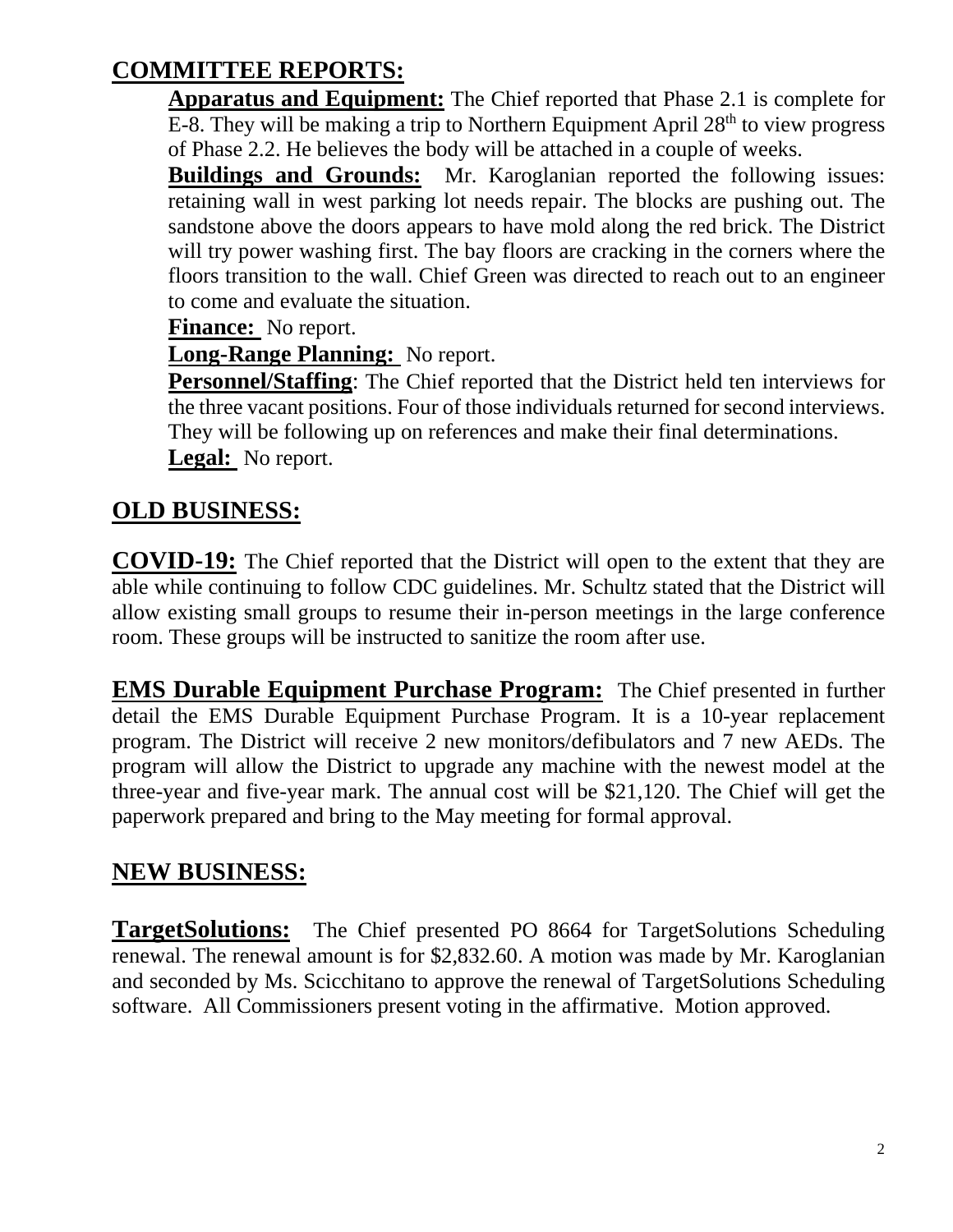# **COMMITTEE REPORTS:**

**Apparatus and Equipment:** The Chief reported that Phase 2.1 is complete for E-8. They will be making a trip to Northern Equipment April  $28<sup>th</sup>$  to view progress of Phase 2.2. He believes the body will be attached in a couple of weeks.

**Buildings and Grounds:** Mr. Karoglanian reported the following issues: retaining wall in west parking lot needs repair. The blocks are pushing out. The sandstone above the doors appears to have mold along the red brick. The District will try power washing first. The bay floors are cracking in the corners where the floors transition to the wall. Chief Green was directed to reach out to an engineer to come and evaluate the situation.

**Finance:** No report.

**Long-Range Planning:** No report.

**Personnel/Staffing**: The Chief reported that the District held ten interviews for the three vacant positions. Four of those individuals returned for second interviews. They will be following up on references and make their final determinations. **Legal:** No report.

# **OLD BUSINESS:**

**COVID-19:** The Chief reported that the District will open to the extent that they are able while continuing to follow CDC guidelines. Mr. Schultz stated that the District will allow existing small groups to resume their in-person meetings in the large conference room. These groups will be instructed to sanitize the room after use.

**EMS Durable Equipment Purchase Program:** The Chief presented in further detail the EMS Durable Equipment Purchase Program. It is a 10-year replacement program. The District will receive 2 new monitors/defibulators and 7 new AEDs. The program will allow the District to upgrade any machine with the newest model at the three-year and five-year mark. The annual cost will be \$21,120. The Chief will get the paperwork prepared and bring to the May meeting for formal approval.

## **NEW BUSINESS:**

**TargetSolutions:** The Chief presented PO 8664 for TargetSolutions Scheduling renewal. The renewal amount is for \$2,832.60. A motion was made by Mr. Karoglanian and seconded by Ms. Scicchitano to approve the renewal of TargetSolutions Scheduling software. All Commissioners present voting in the affirmative. Motion approved.